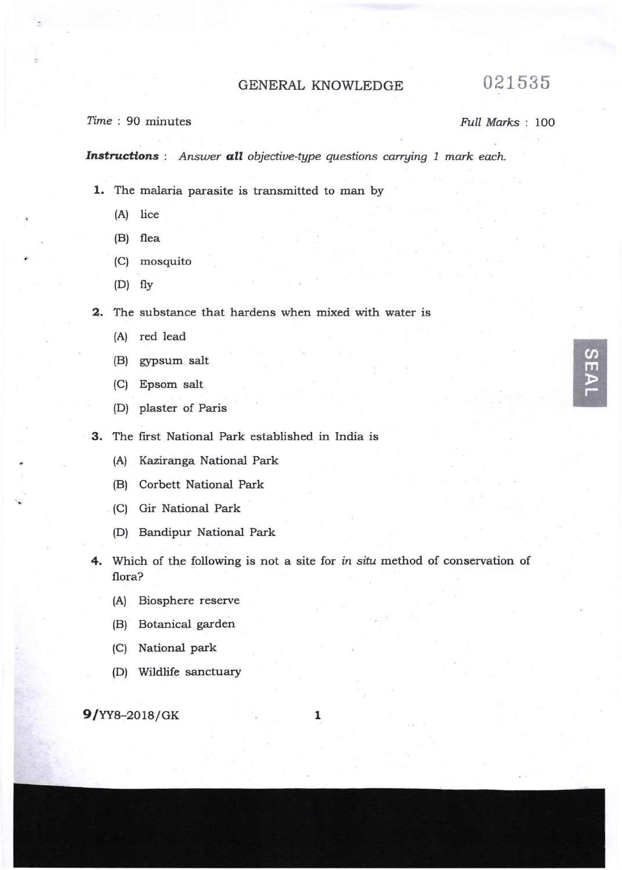## GENERAL KNOWLEDGE 021535

 $\Omega$ m

## Time : 90 minutes Full Marks : 100

Instructions : Answer all objective-type questions carrying 1 mark each.

- l. The malaria parasite is transmitted to man by
	- (A) lice
	- (B) flea
	- (C) mosquito
	- (D) flv

2. The substance that hardens when mixed with water is

- (A) red lead
- (B) gypsum salt
- (C) Epsom salt
- (D) plaster of Paris
- 3. The first National Park established in India is
	- (A) Kaziranga National Park
	- (B) Corbett National Park
	- (C) Gir National Park
	- (D) Bandipur National Park
- 4. Which of the following is not a site for in situ method of conservation of flora?
	- (A) Biosphere reserve
	- (B) Botanical garden
	- (C) National park
	- (D) Wildlife sanctuary

9/YY8-2018/GK

1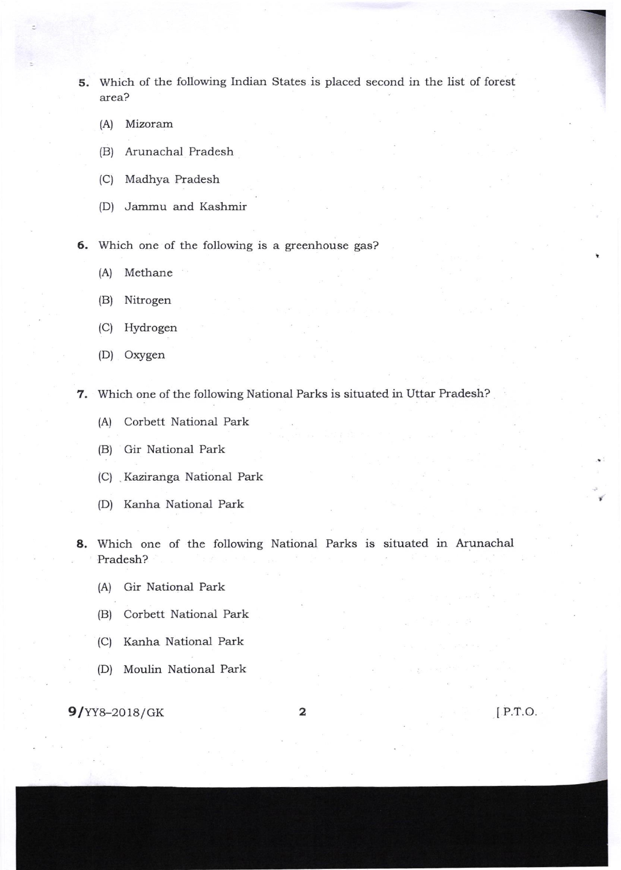- 5. Which of the following Indian States is placed second in the list of forest area?
	- (A) Mizoram
	- (B) Arunachal Pradesh
	- (C) Madhya Pradesh
	- (D) Jammu and Kashmir
- 6. Which one of the following is a greenhouse gas?
	- (A) Methane
	- (B) Nitrogen
	- (C) Hydrogen
	- (D) Oxygen
- 7. Which one of the following National Parks is situated in Uttar Pradesh?
	- (A) Corbett National Park
	- (B) Gir National Park
	- (C) Kaziranga National Park
	- (D) Kanha National Park
- 8. Which one of the following National Parks is situated in Arunachal Pradesh?
	- (A) Gir National Park
	- (B) Corbett National Park
	- (C) Kanha National Park
	- (D) Moulin National Park

 $9/YY8-2018/GK$  2

IP.T.O.

=-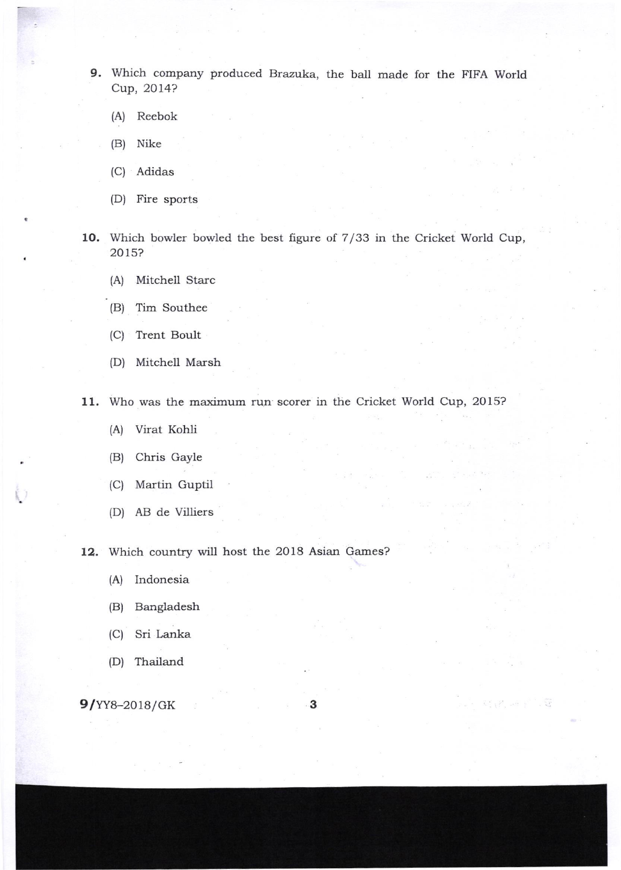9. Which company produced Brazuka, the ball made for the FIFA World Cup, 2Ol4?

- (A) Reebok
- (B) Nike
- (C) Adidas
- (D) Fire sports
- 10. Which bowler bowled the best figure of 7/33 in the Cricket World Cup, 2015?
	- (A) Mitchell Starc
	- (B) Tim Southee
	- (C) Trent Boult
	- (D) Mitchell Marsh

11. Who was the maximum run scorer in the Cricket World Cup, 2015?

- (A) Virat Kohli
- (B) Chris Gayle
- (C) Martin Guptil
- (D) AB de Villiers

12. Which country will host the 2018 Asian Games?

- (A) Indonesia
- (B) Bangladesh
- (C) Sri Lanka
- (D) Thailand

 $9/YY8-2018/GK$  3

무리 나는 나는 말이 나 없어.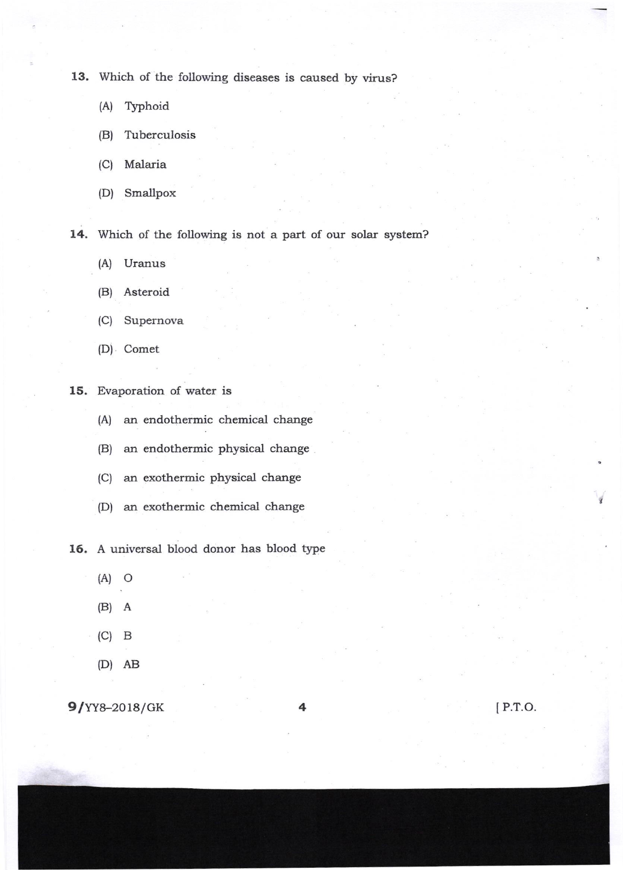13. Which of the following diseases is caused by virus?

- (A) Typhoid
- (B) Tuberculosis
- (C) Malaria
- (D) Smallpox

14. Which of the following is not a part of our solar system?

- (A) Uranus
- (B) Asteroid
- (C) Supernova
- (D) Comet
- 15. Evaporation of water is
	- (A) an endothermic chemical change
	- (B) an endothermic physical change
	- (C) an exothermic physical change
	- (D) an exothermic chemical change

16. A universal blood donor has blood type

- $(A)$  O
- (B) A
- (c) <sup>B</sup>
- (D) AB

 $9/YY8-2018/GK$  4 [P.T.O.